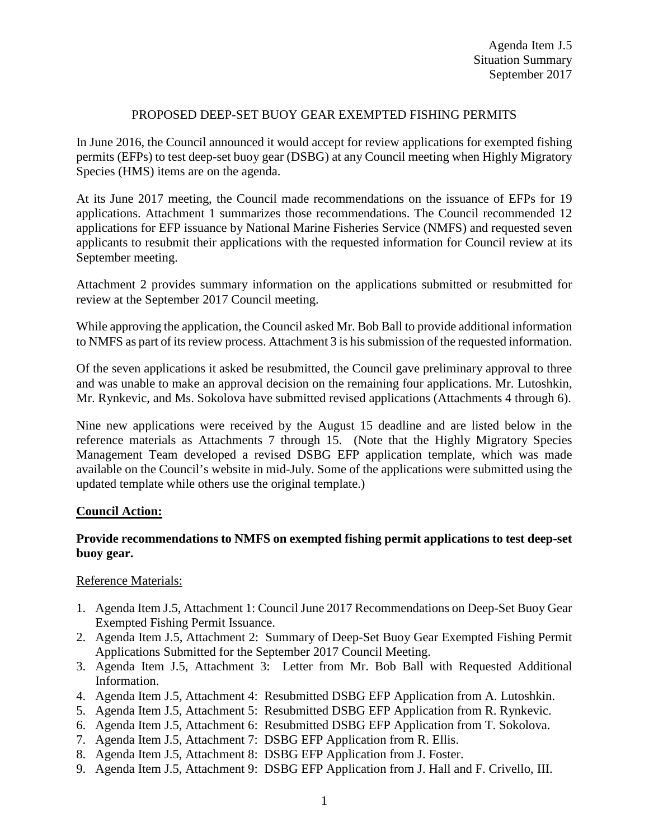## PROPOSED DEEP-SET BUOY GEAR EXEMPTED FISHING PERMITS

In June 2016, the Council announced it would accept for review applications for exempted fishing permits (EFPs) to test deep-set buoy gear (DSBG) at any Council meeting when Highly Migratory Species (HMS) items are on the agenda.

At its June 2017 meeting, the Council made recommendations on the issuance of EFPs for 19 applications. Attachment 1 summarizes those recommendations. The Council recommended 12 applications for EFP issuance by National Marine Fisheries Service (NMFS) and requested seven applicants to resubmit their applications with the requested information for Council review at its September meeting.

Attachment 2 provides summary information on the applications submitted or resubmitted for review at the September 2017 Council meeting.

While approving the application, the Council asked Mr. Bob Ball to provide additional information to NMFS as part of its review process. Attachment 3 is his submission of the requested information.

Of the seven applications it asked be resubmitted, the Council gave preliminary approval to three and was unable to make an approval decision on the remaining four applications. Mr. Lutoshkin, Mr. Rynkevic, and Ms. Sokolova have submitted revised applications (Attachments 4 through 6).

Nine new applications were received by the August 15 deadline and are listed below in the reference materials as Attachments 7 through 15. (Note that the Highly Migratory Species Management Team developed a revised DSBG EFP application template, which was made available on the Council's website in mid-July. Some of the applications were submitted using the updated template while others use the original template.)

## **Council Action:**

# **Provide recommendations to NMFS on exempted fishing permit applications to test deep-set buoy gear.**

## Reference Materials:

- 1. Agenda Item J.5, Attachment 1: Council June 2017 Recommendations on Deep-Set Buoy Gear Exempted Fishing Permit Issuance.
- 2. Agenda Item J.5, Attachment 2: Summary of Deep-Set Buoy Gear Exempted Fishing Permit Applications Submitted for the September 2017 Council Meeting.
- 3. Agenda Item J.5, Attachment 3: Letter from Mr. Bob Ball with Requested Additional Information.
- 4. Agenda Item J.5, Attachment 4: Resubmitted DSBG EFP Application from A. Lutoshkin.
- 5. Agenda Item J.5, Attachment 5: Resubmitted DSBG EFP Application from R. Rynkevic.
- 6. Agenda Item J.5, Attachment 6: Resubmitted DSBG EFP Application from T. Sokolova.
- 7. Agenda Item J.5, Attachment 7: DSBG EFP Application from R. Ellis.
- 8. Agenda Item J.5, Attachment 8: DSBG EFP Application from J. Foster.
- 9. Agenda Item J.5, Attachment 9: DSBG EFP Application from J. Hall and F. Crivello, III.